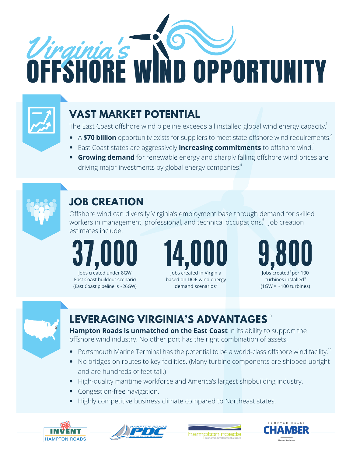



# **VAST MARKET POTENTIAL**

The East Coast offshore wind pipeline exceeds all installed global wind energy capacity.<sup>1</sup>

- 
- East Coast states are aggressively **increasing commitments** to offshore wind.
- A **\$70 billion** opportunity exists for suppliers to meet state offshore wind requirements.<sup>2</sup><br>East Coast states are aggressively **increasing commitments** to offshore wind.<sup>3</sup><br>**Growing demand** for renewable energy and sharp **Growing demand** for renewable energy and sharply falling offshore wind prices are 4



# **JOB CREATION**

Offshore wind can diversify Virginia's employment base through demand for skilled workers in management, professional, and technical occupations. Job creation<br>estimates include:

Stiffrates include. Jobs created under 8GW

East Coast buildout scenario (East Coast pipeline is  $\sim$ 26GW) demand scenarios<sup>7</sup>



based on DOE wind energy



3



### **LEVERAGING VIRGINIA'S ADVANTAGES** 10 and the contract of the contract of the contract of the contract of the contract of the contract of the contract of the contract of the contract of the contract of the contract of the contract of the contract of the con

**Hampton Roads is unmatched on the East Coast** in its ability to support the offshore wind industry. No other port has the right combination of assets.

- Portsmouth Marine Terminal has the potential to be a world-class offshore wind facility.<sup>11</sup> 11
- No bridges on routes to key facilities. (Many turbine components are shipped upright and are hundreds of feet tall.)
- High-quality maritime workforce and America's largest shipbuilding industry.
- Congestion-free navigation.
- Highly competitive business climate compared to Northeast states.







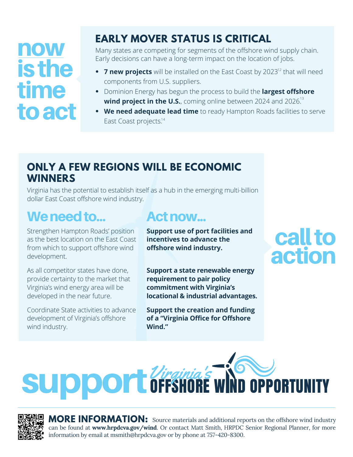# now isthe time toact

# **EARLY MOVER STATUS IS CRITICAL**

Many states are competing for segments of the offshore wind supply chain. Early decisions can have a long-term impact on the location of jobs.

- **7 new projects** will be installed on the East Coast by 2023<sup>12</sup> that will need components from U.S. suppliers.
- Dominion Energy has begun the process to build the **largest offshore wind project in the U.S.**, coming online between 2024 and 2026. 13
- **We need adequate lead time** to ready Hampton Roads facilities to serve East Coast projects.<sup>14</sup>

### **ONLY A FEW REGIONS WILL BE ECONOMIC WINNERS**

Virginia has the potential to establish itself as a hub in the emerging multi-billion dollar East Coast offshore wind industry.

# We need to... **Actions**

Strengthen Hampton Roads' position as the best location on the East Coast from which to support offshore wind development.

As all competitor states have done, provide certainty to the market that Virginia's wind energy area will be developed in the near future.

Coordinate State activities to advance development of Virginia's offshore wind industry.

**Support use of port facilities and incentives to advance the offshore wind industry.**

**Support a state renewable energy requirement to pair policy commitment with Virginia's locational & industrial advantages.**

**Support the creation and funding of a "Virginia Office for Offshore Wind."**

call to action





**MORE INFORMATION:** Source materials and additional reports on the offshore wind industry can be found at **www.hrpdcva.gov/wind**. Or contact Matt Smith, HRPDC Senior Regional Planner, for more **MORE INFORMATION:** Source materials and additional rep can be found at www.hrpdcva.gov/wind. Or contact Matt Smith, HRPDC information by email at msmith@hrpdcva.gov or by phone at 757-420-8300.